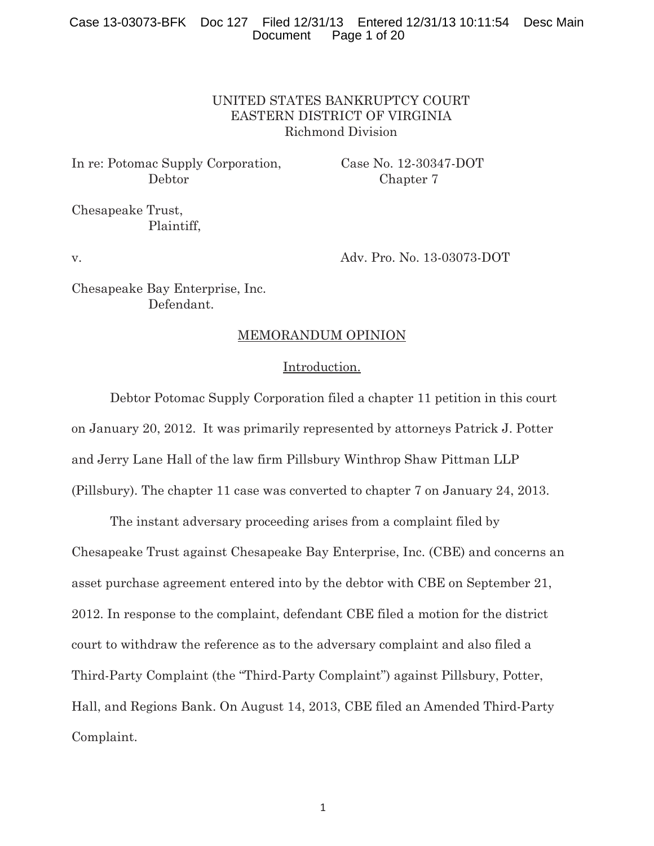# Case 13-03073-BFK Doc 127 Filed 12/31/13 Entered 12/31/13 10:11:54 Desc Main Page 1 of 20

# UNITED STATES BANKRUPTCY COURT EASTERN DISTRICT OF VIRGINIA Richmond Division

In re: Potomac Supply Corporation, Case No. 12-30347-DOT Debtor Chapter 7

Chesapeake Trust, Plaintiff,

v. Adv. Pro. No. 13-03073-DOT

Chesapeake Bay Enterprise, Inc. Defendant.

#### MEMORANDUM OPINION

#### Introduction.

Debtor Potomac Supply Corporation filed a chapter 11 petition in this court on January 20, 2012. It was primarily represented by attorneys Patrick J. Potter and Jerry Lane Hall of the law firm Pillsbury Winthrop Shaw Pittman LLP (Pillsbury). The chapter 11 case was converted to chapter 7 on January 24, 2013.

The instant adversary proceeding arises from a complaint filed by Chesapeake Trust against Chesapeake Bay Enterprise, Inc. (CBE) and concerns an asset purchase agreement entered into by the debtor with CBE on September 21, 2012. In response to the complaint, defendant CBE filed a motion for the district court to withdraw the reference as to the adversary complaint and also filed a Third-Party Complaint (the "Third-Party Complaint") against Pillsbury, Potter, Hall, and Regions Bank. On August 14, 2013, CBE filed an Amended Third-Party Complaint.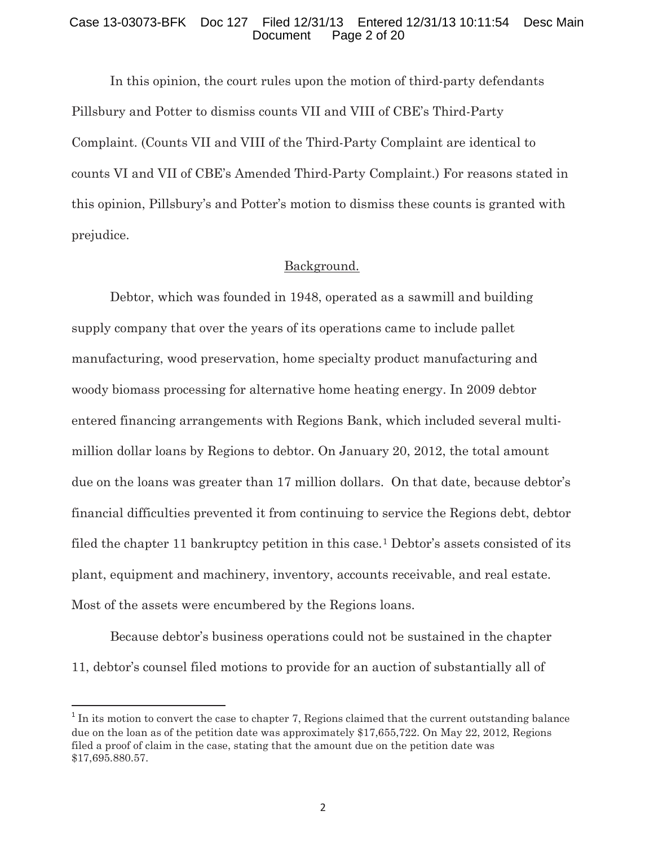#### Case 13-03073-BFK Doc 127 Filed 12/31/13 Entered 12/31/13 10:11:54 Desc Main Page 2 of 20

In this opinion, the court rules upon the motion of third-party defendants Pillsbury and Potter to dismiss counts VII and VIII of CBE's Third-Party Complaint. (Counts VII and VIII of the Third-Party Complaint are identical to counts VI and VII of CBE's Amended Third-Party Complaint.) For reasons stated in this opinion, Pillsbury's and Potter's motion to dismiss these counts is granted with prejudice.

#### Background.

Debtor, which was founded in 1948, operated as a sawmill and building supply company that over the years of its operations came to include pallet manufacturing, wood preservation, home specialty product manufacturing and woody biomass processing for alternative home heating energy. In 2009 debtor entered financing arrangements with Regions Bank, which included several multimillion dollar loans by Regions to debtor. On January 20, 2012, the total amount due on the loans was greater than 17 million dollars. On that date, because debtor's financial difficulties prevented it from continuing to service the Regions debt, debtor filed the chapter 11 bankruptcy petition in this case.<sup>1</sup> Debtor's assets consisted of its plant, equipment and machinery, inventory, accounts receivable, and real estate. Most of the assets were encumbered by the Regions loans.

Because debtor's business operations could not be sustained in the chapter 11, debtor's counsel filed motions to provide for an auction of substantially all of

-

 $1$  In its motion to convert the case to chapter 7, Regions claimed that the current outstanding balance due on the loan as of the petition date was approximately \$17,655,722. On May 22, 2012, Regions filed a proof of claim in the case, stating that the amount due on the petition date was \$17,695.880.57.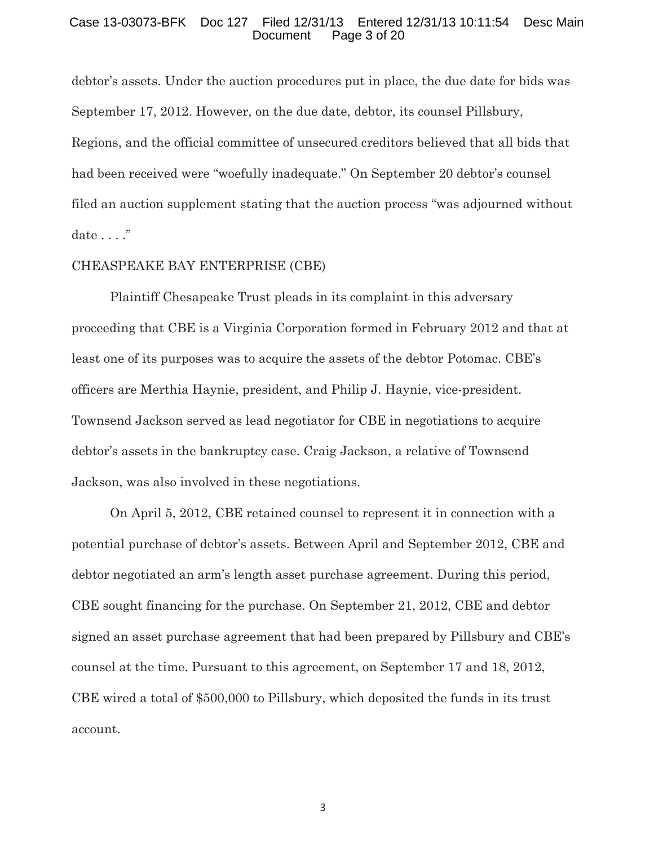#### Case 13-03073-BFK Doc 127 Filed 12/31/13 Entered 12/31/13 10:11:54 Desc Main Page 3 of 20

debtor's assets. Under the auction procedures put in place, the due date for bids was September 17, 2012. However, on the due date, debtor, its counsel Pillsbury, Regions, and the official committee of unsecured creditors believed that all bids that had been received were "woefully inadequate." On September 20 debtor's counsel filed an auction supplement stating that the auction process "was adjourned without date . . . ."

#### CHEASPEAKE BAY ENTERPRISE (CBE)

 Plaintiff Chesapeake Trust pleads in its complaint in this adversary proceeding that CBE is a Virginia Corporation formed in February 2012 and that at least one of its purposes was to acquire the assets of the debtor Potomac. CBE's officers are Merthia Haynie, president, and Philip J. Haynie, vice-president. Townsend Jackson served as lead negotiator for CBE in negotiations to acquire debtor's assets in the bankruptcy case. Craig Jackson, a relative of Townsend Jackson, was also involved in these negotiations.

 On April 5, 2012, CBE retained counsel to represent it in connection with a potential purchase of debtor's assets. Between April and September 2012, CBE and debtor negotiated an arm's length asset purchase agreement. During this period, CBE sought financing for the purchase. On September 21, 2012, CBE and debtor signed an asset purchase agreement that had been prepared by Pillsbury and CBE's counsel at the time. Pursuant to this agreement, on September 17 and 18, 2012, CBE wired a total of \$500,000 to Pillsbury, which deposited the funds in its trust account.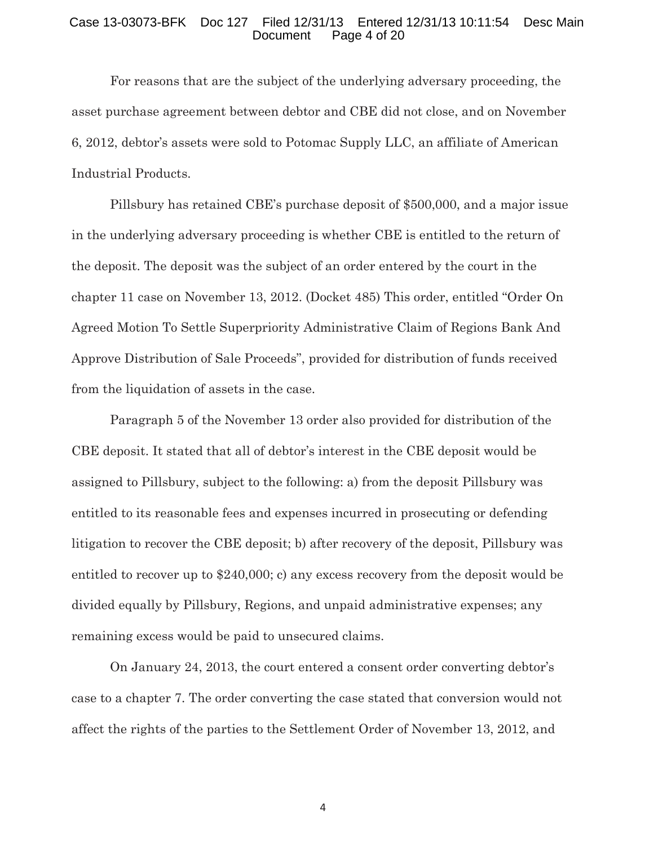#### Case 13-03073-BFK Doc 127 Filed 12/31/13 Entered 12/31/13 10:11:54 Desc Main Page 4 of 20

 For reasons that are the subject of the underlying adversary proceeding, the asset purchase agreement between debtor and CBE did not close, and on November 6, 2012, debtor's assets were sold to Potomac Supply LLC, an affiliate of American Industrial Products.

Pillsbury has retained CBE's purchase deposit of \$500,000, and a major issue in the underlying adversary proceeding is whether CBE is entitled to the return of the deposit. The deposit was the subject of an order entered by the court in the chapter 11 case on November 13, 2012. (Docket 485) This order, entitled "Order On Agreed Motion To Settle Superpriority Administrative Claim of Regions Bank And Approve Distribution of Sale Proceeds", provided for distribution of funds received from the liquidation of assets in the case.

Paragraph 5 of the November 13 order also provided for distribution of the CBE deposit. It stated that all of debtor's interest in the CBE deposit would be assigned to Pillsbury, subject to the following: a) from the deposit Pillsbury was entitled to its reasonable fees and expenses incurred in prosecuting or defending litigation to recover the CBE deposit; b) after recovery of the deposit, Pillsbury was entitled to recover up to \$240,000; c) any excess recovery from the deposit would be divided equally by Pillsbury, Regions, and unpaid administrative expenses; any remaining excess would be paid to unsecured claims.

On January 24, 2013, the court entered a consent order converting debtor's case to a chapter 7. The order converting the case stated that conversion would not affect the rights of the parties to the Settlement Order of November 13, 2012, and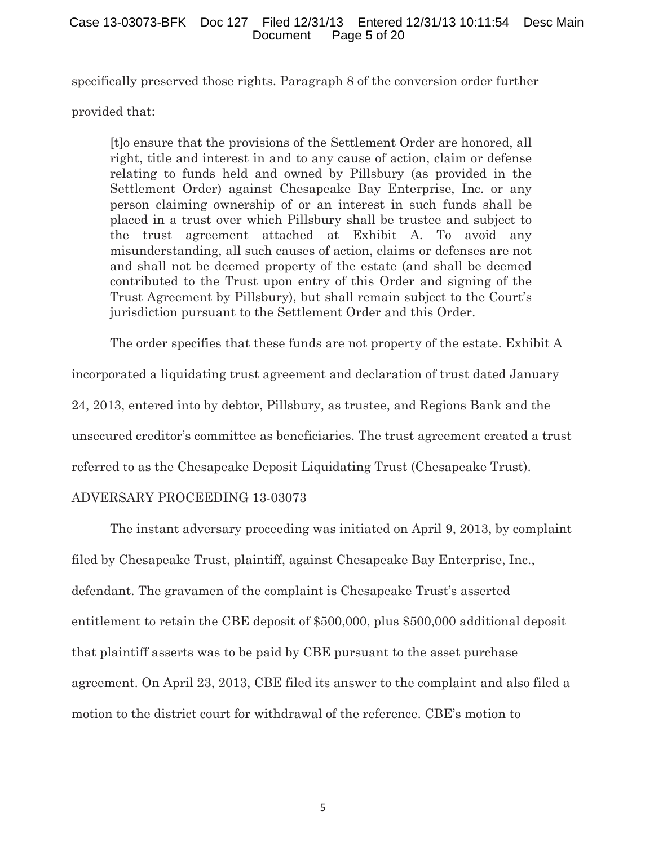specifically preserved those rights. Paragraph 8 of the conversion order further

provided that:

[t]o ensure that the provisions of the Settlement Order are honored, all right, title and interest in and to any cause of action, claim or defense relating to funds held and owned by Pillsbury (as provided in the Settlement Order) against Chesapeake Bay Enterprise, Inc. or any person claiming ownership of or an interest in such funds shall be placed in a trust over which Pillsbury shall be trustee and subject to the trust agreement attached at Exhibit A. To avoid any misunderstanding, all such causes of action, claims or defenses are not and shall not be deemed property of the estate (and shall be deemed contributed to the Trust upon entry of this Order and signing of the Trust Agreement by Pillsbury), but shall remain subject to the Court's jurisdiction pursuant to the Settlement Order and this Order.

The order specifies that these funds are not property of the estate. Exhibit A incorporated a liquidating trust agreement and declaration of trust dated January 24, 2013, entered into by debtor, Pillsbury, as trustee, and Regions Bank and the unsecured creditor's committee as beneficiaries. The trust agreement created a trust referred to as the Chesapeake Deposit Liquidating Trust (Chesapeake Trust).

# ADVERSARY PROCEEDING 13-03073

 The instant adversary proceeding was initiated on April 9, 2013, by complaint filed by Chesapeake Trust, plaintiff, against Chesapeake Bay Enterprise, Inc., defendant. The gravamen of the complaint is Chesapeake Trust's asserted entitlement to retain the CBE deposit of \$500,000, plus \$500,000 additional deposit that plaintiff asserts was to be paid by CBE pursuant to the asset purchase agreement. On April 23, 2013, CBE filed its answer to the complaint and also filed a motion to the district court for withdrawal of the reference. CBE's motion to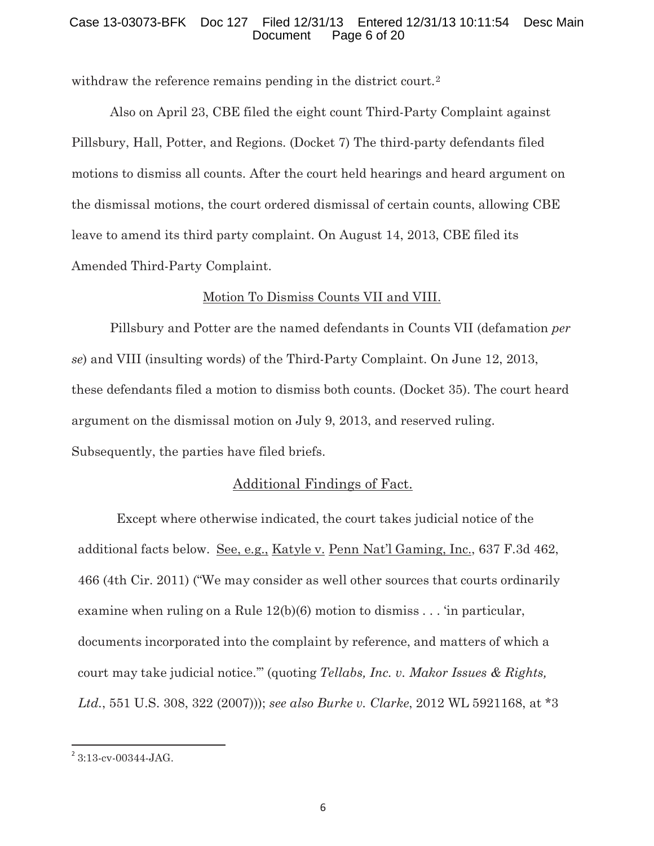## Case 13-03073-BFK Doc 127 Filed 12/31/13 Entered 12/31/13 10:11:54 Desc Main Page 6 of 20

withdraw the reference remains pending in the district court.<sup>2</sup>

 Also on April 23, CBE filed the eight count Third-Party Complaint against Pillsbury, Hall, Potter, and Regions. (Docket 7) The third-party defendants filed motions to dismiss all counts. After the court held hearings and heard argument on the dismissal motions, the court ordered dismissal of certain counts, allowing CBE leave to amend its third party complaint. On August 14, 2013, CBE filed its Amended Third-Party Complaint.

# Motion To Dismiss Counts VII and VIII.

 Pillsbury and Potter are the named defendants in Counts VII (defamation *per se*) and VIII (insulting words) of the Third-Party Complaint. On June 12, 2013, these defendants filed a motion to dismiss both counts. (Docket 35). The court heard argument on the dismissal motion on July 9, 2013, and reserved ruling. Subsequently, the parties have filed briefs.

# Additional Findings of Fact.

 Except where otherwise indicated, the court takes judicial notice of the additional facts below. See, e.g., Katyle v. Penn Nat'l Gaming, Inc., 637 F.3d 462, 466 (4th Cir. 2011) ("We may consider as well other sources that courts ordinarily examine when ruling on a Rule  $12(b)(6)$  motion to dismiss . . . 'in particular, documents incorporated into the complaint by reference, and matters of which a court may take judicial notice.'" (quoting *Tellabs, Inc. v. Makor Issues & Rights, Ltd.*, 551 U.S. 308, 322 (2007))); *see also Burke v. Clarke*, 2012 WL 5921168, at \*3

<u>.</u>

 $2$  3:13-cv-00344-JAG.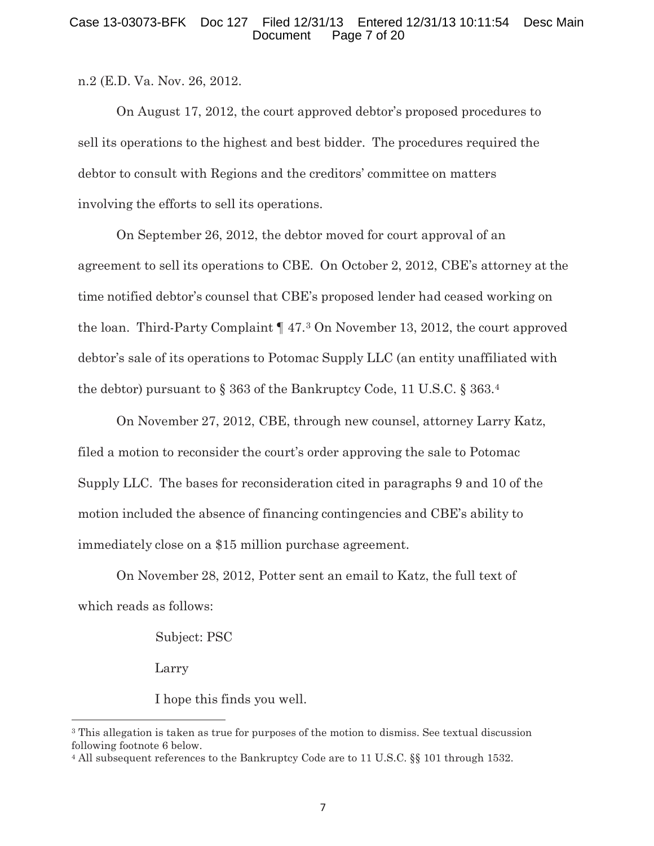#### Case 13-03073-BFK Doc 127 Filed 12/31/13 Entered 12/31/13 10:11:54 Desc Main Page 7 of 20

n.2 (E.D. Va. Nov. 26, 2012.

On August 17, 2012, the court approved debtor's proposed procedures to sell its operations to the highest and best bidder. The procedures required the debtor to consult with Regions and the creditors' committee on matters involving the efforts to sell its operations.

On September 26, 2012, the debtor moved for court approval of an agreement to sell its operations to CBE. On October 2, 2012, CBE's attorney at the time notified debtor's counsel that CBE's proposed lender had ceased working on the loan. Third-Party Complaint ¶ 47.3 On November 13, 2012, the court approved debtor's sale of its operations to Potomac Supply LLC (an entity unaffiliated with the debtor) pursuant to § 363 of the Bankruptcy Code, 11 U.S.C. § 363.4

On November 27, 2012, CBE, through new counsel, attorney Larry Katz, filed a motion to reconsider the court's order approving the sale to Potomac Supply LLC. The bases for reconsideration cited in paragraphs 9 and 10 of the motion included the absence of financing contingencies and CBE's ability to immediately close on a \$15 million purchase agreement.

On November 28, 2012, Potter sent an email to Katz, the full text of which reads as follows:

Subject: PSC

Larry

<u>.</u>

I hope this finds you well.

<sup>&</sup>lt;sup>3</sup> This allegation is taken as true for purposes of the motion to dismiss. See textual discussion following footnote 6 below.

<sup>4</sup> All subsequent references to the Bankruptcy Code are to 11 U.S.C. §§ 101 through 1532.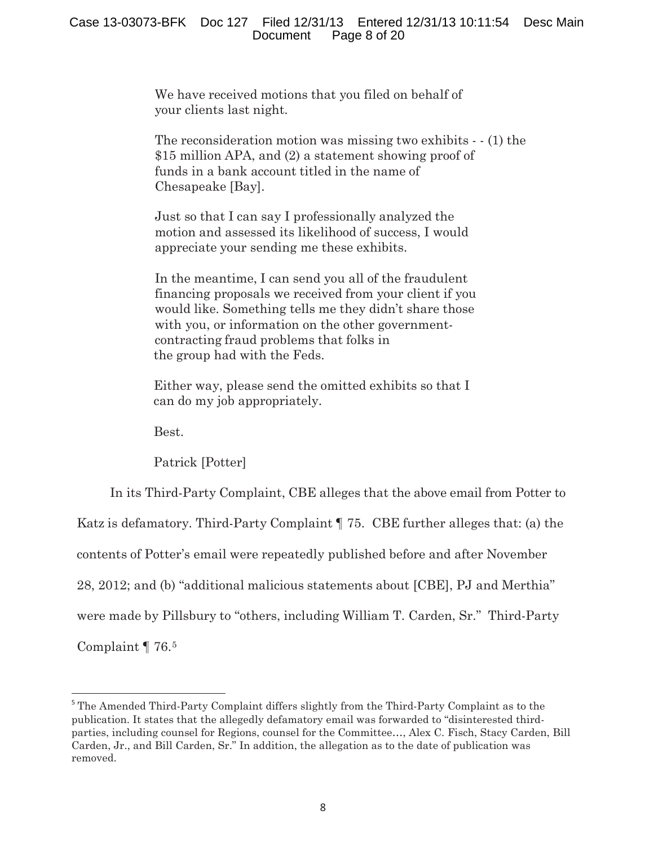We have received motions that you filed on behalf of your clients last night.

The reconsideration motion was missing two exhibits - - (1) the \$15 million APA, and (2) a statement showing proof of funds in a bank account titled in the name of Chesapeake [Bay].

Just so that I can say I professionally analyzed the motion and assessed its likelihood of success, I would appreciate your sending me these exhibits.

In the meantime, I can send you all of the fraudulent financing proposals we received from your client if you would like. Something tells me they didn't share those with you, or information on the other governmentcontracting fraud problems that folks in the group had with the Feds.

Either way, please send the omitted exhibits so that I can do my job appropriately.

Best.

Patrick [Potter]

In its Third-Party Complaint, CBE alleges that the above email from Potter to

Katz is defamatory. Third-Party Complaint ¶ 75. CBE further alleges that: (a) the

contents of Potter's email were repeatedly published before and after November

28, 2012; and (b) "additional malicious statements about [CBE], PJ and Merthia"

were made by Pillsbury to "others, including William T. Carden, Sr." Third-Party

Complaint ¶ 76.5

<u>.</u>

<sup>&</sup>lt;sup>5</sup> The Amended Third-Party Complaint differs slightly from the Third-Party Complaint as to the publication. It states that the allegedly defamatory email was forwarded to "disinterested thirdparties, including counsel for Regions, counsel for the Committee…, Alex C. Fisch, Stacy Carden, Bill Carden, Jr., and Bill Carden, Sr." In addition, the allegation as to the date of publication was removed.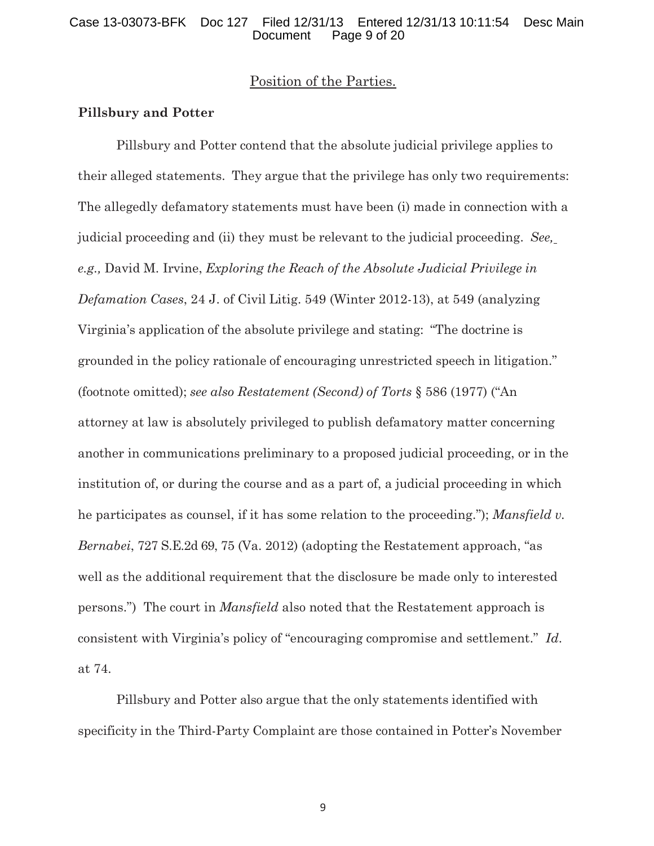# Position of the Parties.

#### **Pillsbury and Potter**

Pillsbury and Potter contend that the absolute judicial privilege applies to their alleged statements. They argue that the privilege has only two requirements: The allegedly defamatory statements must have been (i) made in connection with a judicial proceeding and (ii) they must be relevant to the judicial proceeding. *See, e.g.,* David M. Irvine, *Exploring the Reach of the Absolute Judicial Privilege in Defamation Cases*, 24 J. of Civil Litig. 549 (Winter 2012-13), at 549 (analyzing Virginia's application of the absolute privilege and stating: "The doctrine is grounded in the policy rationale of encouraging unrestricted speech in litigation." (footnote omitted); *see also Restatement (Second) of Torts* § 586 (1977) ("An attorney at law is absolutely privileged to publish defamatory matter concerning another in communications preliminary to a proposed judicial proceeding, or in the institution of, or during the course and as a part of, a judicial proceeding in which he participates as counsel, if it has some relation to the proceeding."); *Mansfield v. Bernabei*, 727 S.E.2d 69, 75 (Va. 2012) (adopting the Restatement approach, "as well as the additional requirement that the disclosure be made only to interested persons.") The court in *Mansfield* also noted that the Restatement approach is consistent with Virginia's policy of "encouraging compromise and settlement." *Id*. at 74.

Pillsbury and Potter also argue that the only statements identified with specificity in the Third-Party Complaint are those contained in Potter's November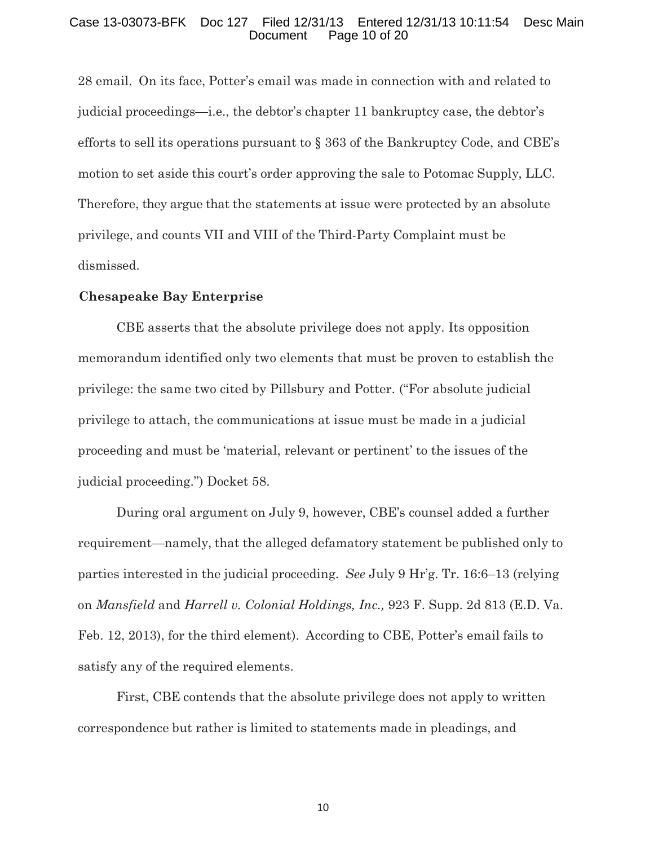#### Case 13-03073-BFK Doc 127 Filed 12/31/13 Entered 12/31/13 10:11:54 Desc Main Page 10 of 20

28 email. On its face, Potter's email was made in connection with and related to judicial proceedings—i.e., the debtor's chapter 11 bankruptcy case, the debtor's efforts to sell its operations pursuant to § 363 of the Bankruptcy Code, and CBE's motion to set aside this court's order approving the sale to Potomac Supply, LLC. Therefore, they argue that the statements at issue were protected by an absolute privilege, and counts VII and VIII of the Third-Party Complaint must be dismissed.

#### **Chesapeake Bay Enterprise**

CBE asserts that the absolute privilege does not apply. Its opposition memorandum identified only two elements that must be proven to establish the privilege: the same two cited by Pillsbury and Potter. ("For absolute judicial privilege to attach, the communications at issue must be made in a judicial proceeding and must be 'material, relevant or pertinent' to the issues of the judicial proceeding.") Docket 58.

During oral argument on July 9, however, CBE's counsel added a further requirement—namely, that the alleged defamatory statement be published only to parties interested in the judicial proceeding. *See* July 9 Hr'g. Tr. 16:6–13 (relying on *Mansfield* and *Harrell v. Colonial Holdings, Inc.,* 923 F. Supp. 2d 813 (E.D. Va. Feb. 12, 2013), for the third element). According to CBE, Potter's email fails to satisfy any of the required elements.

First, CBE contends that the absolute privilege does not apply to written correspondence but rather is limited to statements made in pleadings, and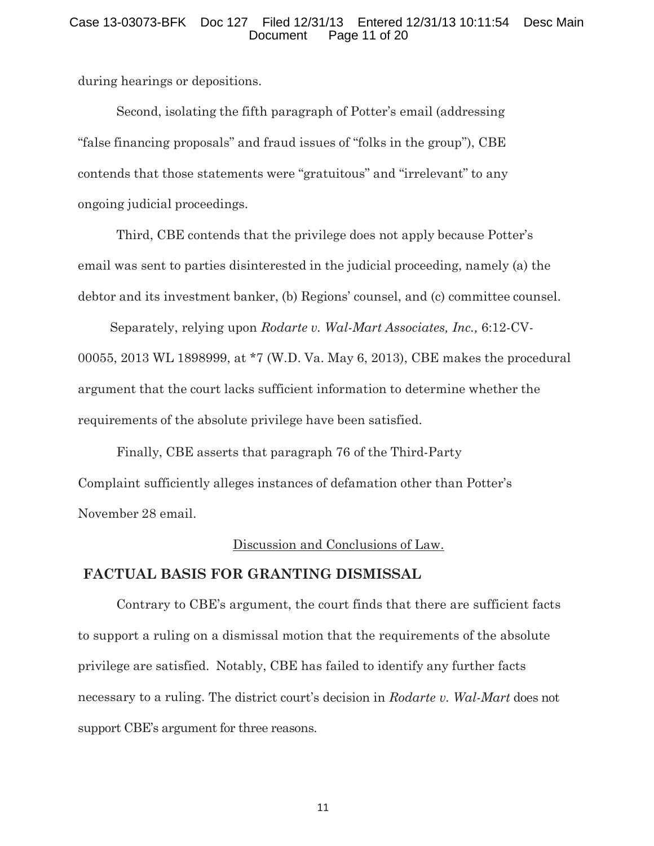#### Case 13-03073-BFK Doc 127 Filed 12/31/13 Entered 12/31/13 10:11:54 Desc Main Page 11 of 20

during hearings or depositions.

Second, isolating the fifth paragraph of Potter's email (addressing "false financing proposals" and fraud issues of "folks in the group"), CBE contends that those statements were "gratuitous" and "irrelevant" to any ongoing judicial proceedings.

Third, CBE contends that the privilege does not apply because Potter's email was sent to parties disinterested in the judicial proceeding, namely (a) the debtor and its investment banker, (b) Regions' counsel, and (c) committee counsel.

Separately, relying upon *Rodarte v. Wal-Mart Associates, Inc.,* 6:12-CV-00055, 2013 WL 1898999, at \*7 (W.D. Va. May 6, 2013), CBE makes the procedural argument that the court lacks sufficient information to determine whether the requirements of the absolute privilege have been satisfied.

Finally, CBE asserts that paragraph 76 of the Third-Party Complaint sufficiently alleges instances of defamation other than Potter's November 28 email.

# Discussion and Conclusions of Law.

# **FACTUAL BASIS FOR GRANTING DISMISSAL**

Contrary to CBE's argument, the court finds that there are sufficient facts to support a ruling on a dismissal motion that the requirements of the absolute privilege are satisfied. Notably, CBE has failed to identify any further facts necessary to a ruling. The district court's decision in *Rodarte v. Wal-Mart* does not support CBE's argument for three reasons.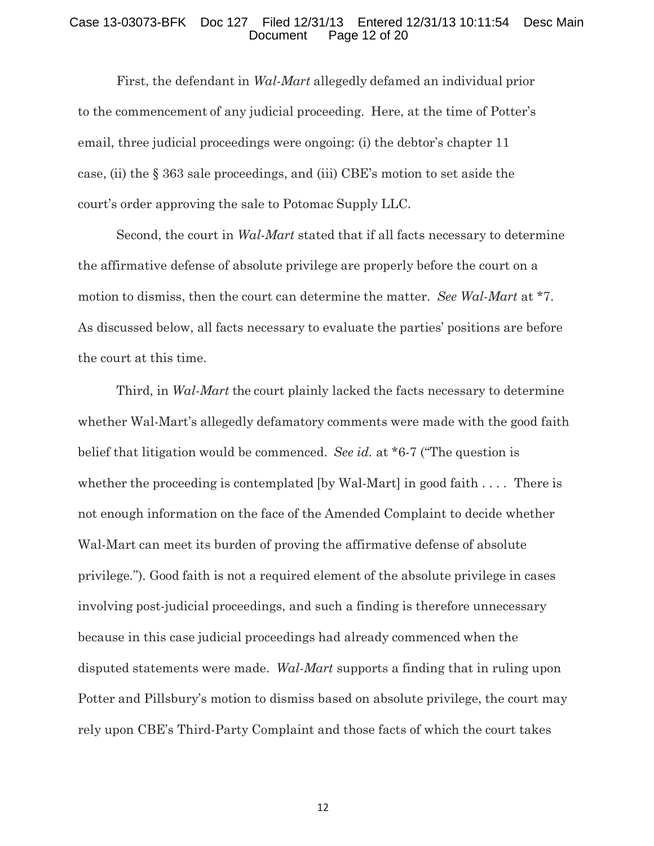#### Case 13-03073-BFK Doc 127 Filed 12/31/13 Entered 12/31/13 10:11:54 Desc Main Page 12 of 20

First, the defendant in *Wal-Mart* allegedly defamed an individual prior to the commencement of any judicial proceeding. Here, at the time of Potter's email, three judicial proceedings were ongoing: (i) the debtor's chapter 11 case, (ii) the § 363 sale proceedings, and (iii) CBE's motion to set aside the court's order approving the sale to Potomac Supply LLC.

Second, the court in *Wal-Mart* stated that if all facts necessary to determine the affirmative defense of absolute privilege are properly before the court on a motion to dismiss, then the court can determine the matter. *See Wal-Mart* at \*7. As discussed below, all facts necessary to evaluate the parties' positions are before the court at this time.

Third, in *Wal-Mart* the court plainly lacked the facts necessary to determine whether Wal-Mart's allegedly defamatory comments were made with the good faith belief that litigation would be commenced. *See id.* at \*6-7 ("The question is whether the proceeding is contemplated [by Wal-Mart] in good faith . . . . There is not enough information on the face of the Amended Complaint to decide whether Wal-Mart can meet its burden of proving the affirmative defense of absolute privilege."). Good faith is not a required element of the absolute privilege in cases involving post-judicial proceedings, and such a finding is therefore unnecessary because in this case judicial proceedings had already commenced when the disputed statements were made. *Wal-Mart* supports a finding that in ruling upon Potter and Pillsbury's motion to dismiss based on absolute privilege, the court may rely upon CBE's Third-Party Complaint and those facts of which the court takes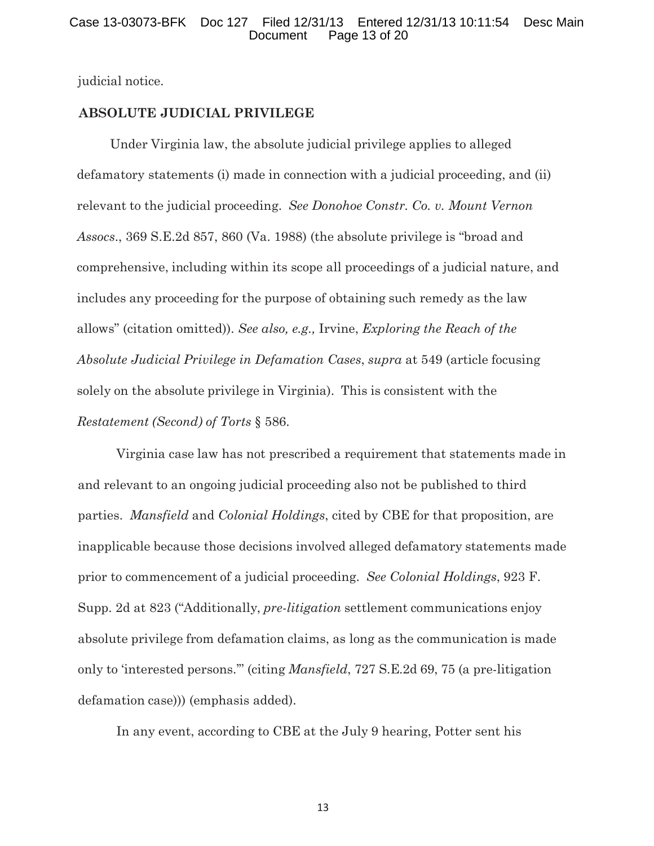#### Case 13-03073-BFK Doc 127 Filed 12/31/13 Entered 12/31/13 10:11:54 Desc Main Page 13 of 20

judicial notice.

# **ABSOLUTE JUDICIAL PRIVILEGE**

Under Virginia law, the absolute judicial privilege applies to alleged defamatory statements (i) made in connection with a judicial proceeding, and (ii) relevant to the judicial proceeding. *See Donohoe Constr. Co. v. Mount Vernon Assocs*., 369 S.E.2d 857, 860 (Va. 1988) (the absolute privilege is "broad and comprehensive, including within its scope all proceedings of a judicial nature, and includes any proceeding for the purpose of obtaining such remedy as the law allows" (citation omitted)). *See also, e.g.,* Irvine, *Exploring the Reach of the Absolute Judicial Privilege in Defamation Cases*, *supra* at 549 (article focusing solely on the absolute privilege in Virginia). This is consistent with the *Restatement (Second) of Torts* § 586.

Virginia case law has not prescribed a requirement that statements made in and relevant to an ongoing judicial proceeding also not be published to third parties. *Mansfield* and *Colonial Holdings*, cited by CBE for that proposition, are inapplicable because those decisions involved alleged defamatory statements made prior to commencement of a judicial proceeding. *See Colonial Holdings*, 923 F. Supp. 2d at 823 ("Additionally, *pre-litigation* settlement communications enjoy absolute privilege from defamation claims, as long as the communication is made only to 'interested persons.'" (citing *Mansfield*, 727 S.E.2d 69, 75 (a pre-litigation defamation case))) (emphasis added).

In any event, according to CBE at the July 9 hearing, Potter sent his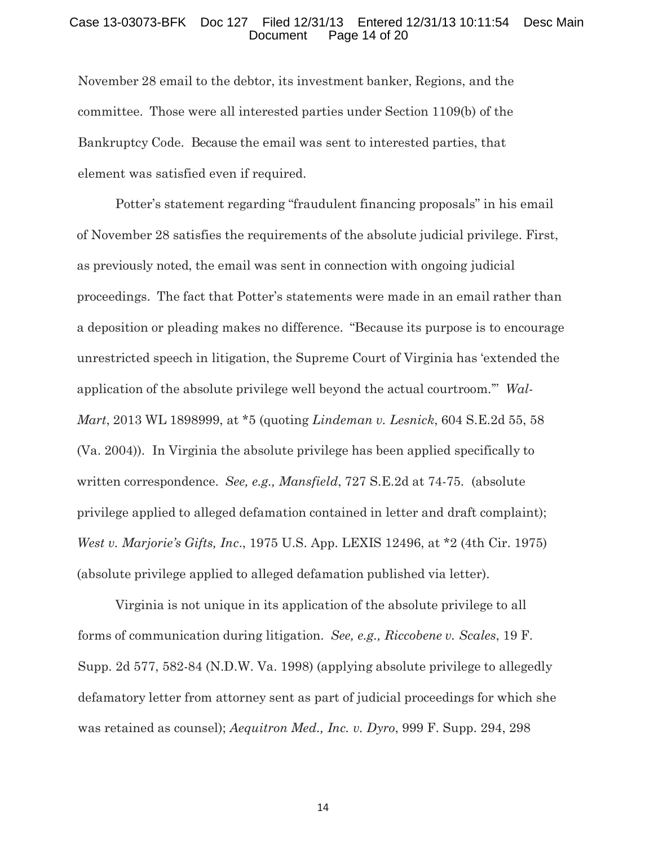#### Case 13-03073-BFK Doc 127 Filed 12/31/13 Entered 12/31/13 10:11:54 Desc Main Page 14 of 20

November 28 email to the debtor, its investment banker, Regions, and the committee. Those were all interested parties under Section 1109(b) of the Bankruptcy Code. Because the email was sent to interested parties, that element was satisfied even if required.

Potter's statement regarding "fraudulent financing proposals" in his email of November 28 satisfies the requirements of the absolute judicial privilege. First, as previously noted, the email was sent in connection with ongoing judicial proceedings. The fact that Potter's statements were made in an email rather than a deposition or pleading makes no difference. "Because its purpose is to encourage unrestricted speech in litigation, the Supreme Court of Virginia has 'extended the application of the absolute privilege well beyond the actual courtroom.'" *Wal-Mart*, 2013 WL 1898999, at \*5 (quoting *Lindeman v. Lesnick*, 604 S.E.2d 55, 58 (Va. 2004)). In Virginia the absolute privilege has been applied specifically to written correspondence. *See, e.g., Mansfield*, 727 S.E.2d at 74-75. (absolute privilege applied to alleged defamation contained in letter and draft complaint); *West v. Marjorie's Gifts, Inc*., 1975 U.S. App. LEXIS 12496, at \*2 (4th Cir. 1975) (absolute privilege applied to alleged defamation published via letter).

Virginia is not unique in its application of the absolute privilege to all forms of communication during litigation. *See, e.g., Riccobene v. Scales*, 19 F. Supp. 2d 577, 582-84 (N.D.W. Va. 1998) (applying absolute privilege to allegedly defamatory letter from attorney sent as part of judicial proceedings for which she was retained as counsel); *Aequitron Med., Inc. v. Dyro*, 999 F. Supp. 294, 298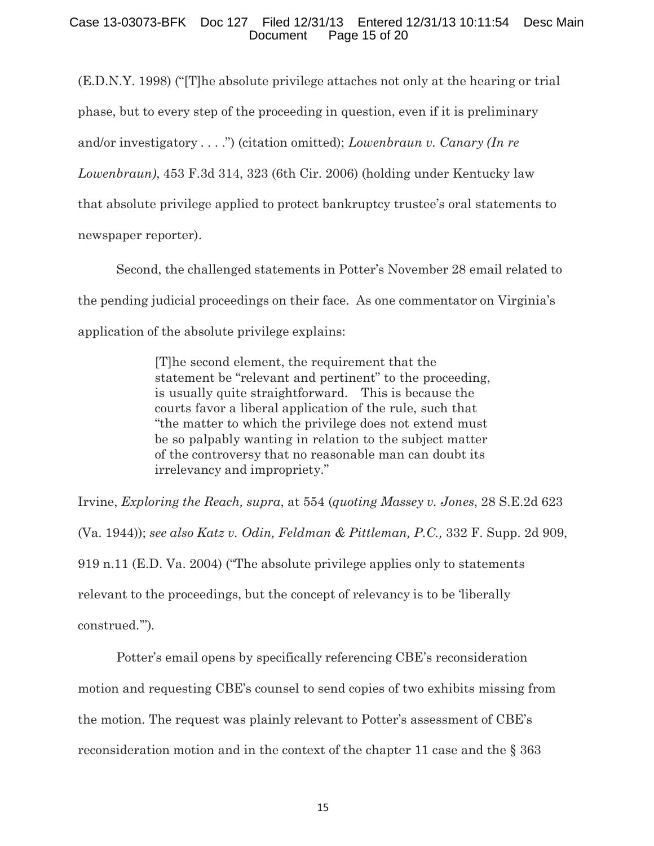# Case 13-03073-BFK Doc 127 Filed 12/31/13 Entered 12/31/13 10:11:54 Desc Main Page 15 of 20

(E.D.N.Y. 1998) ("[T]he absolute privilege attaches not only at the hearing or trial phase, but to every step of the proceeding in question, even if it is preliminary and/or investigatory . . . .") (citation omitted); *Lowenbraun v. Canary (In re Lowenbraun)*, 453 F.3d 314, 323 (6th Cir. 2006) (holding under Kentucky law that absolute privilege applied to protect bankruptcy trustee's oral statements to newspaper reporter).

Second, the challenged statements in Potter's November 28 email related to the pending judicial proceedings on their face. As one commentator on Virginia's application of the absolute privilege explains:

> [T]he second element, the requirement that the statement be "relevant and pertinent" to the proceeding, is usually quite straightforward. This is because the courts favor a liberal application of the rule, such that "the matter to which the privilege does not extend must be so palpably wanting in relation to the subject matter of the controversy that no reasonable man can doubt its irrelevancy and impropriety."

Irvine, *Exploring the Reach, supra*, at 554 (*quoting Massey v. Jones*, 28 S.E.2d 623 (Va. 1944)); *see also Katz v. Odin, Feldman & Pittleman, P.C.,* 332 F. Supp. 2d 909, 919 n.11 (E.D. Va. 2004) ("The absolute privilege applies only to statements relevant to the proceedings, but the concept of relevancy is to be 'liberally construed.'").

Potter's email opens by specifically referencing CBE's reconsideration motion and requesting CBE's counsel to send copies of two exhibits missing from the motion. The request was plainly relevant to Potter's assessment of CBE's reconsideration motion and in the context of the chapter 11 case and the § 363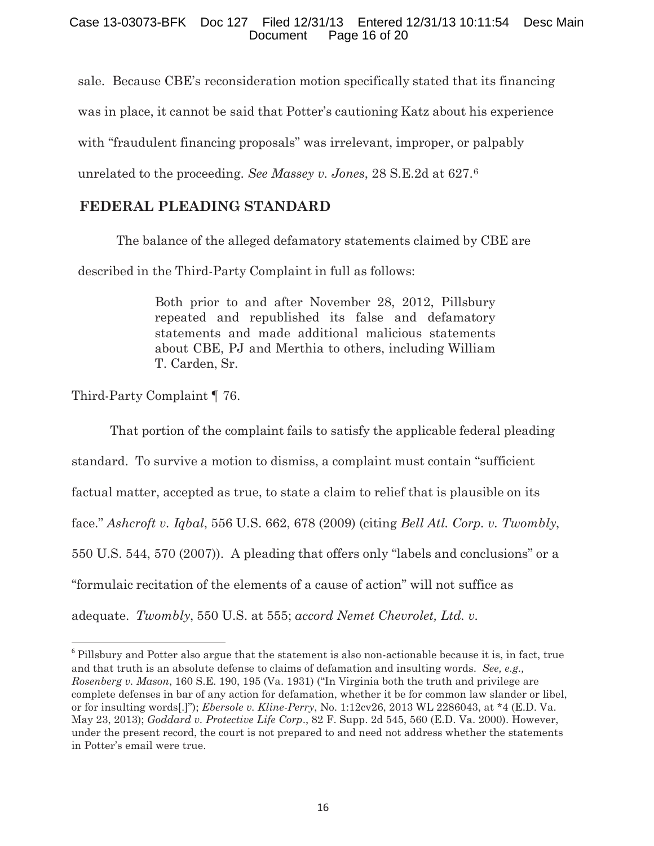# Case 13-03073-BFK Doc 127 Filed 12/31/13 Entered 12/31/13 10:11:54 Desc Main Page 16 of 20

sale. Because CBE's reconsideration motion specifically stated that its financing was in place, it cannot be said that Potter's cautioning Katz about his experience with "fraudulent financing proposals" was irrelevant, improper, or palpably unrelated to the proceeding. *See Massey v. Jones*, 28 S.E.2d at 627.6

# **FEDERAL PLEADING STANDARD**

The balance of the alleged defamatory statements claimed by CBE are

described in the Third-Party Complaint in full as follows:

Both prior to and after November 28, 2012, Pillsbury repeated and republished its false and defamatory statements and made additional malicious statements about CBE, PJ and Merthia to others, including William T. Carden, Sr.

Third-Party Complaint ¶ 76.

<u>.</u>

That portion of the complaint fails to satisfy the applicable federal pleading standard. To survive a motion to dismiss, a complaint must contain "sufficient factual matter, accepted as true, to state a claim to relief that is plausible on its face." *Ashcroft v. Iqbal*, 556 U.S. 662, 678 (2009) (citing *Bell Atl. Corp. v. Twombly*, 550 U.S. 544, 570 (2007)). A pleading that offers only "labels and conclusions" or a "formulaic recitation of the elements of a cause of action" will not suffice as adequate. *Twombly*, 550 U.S. at 555; *accord Nemet Chevrolet, Ltd. v.* 

<sup>6</sup> Pillsbury and Potter also argue that the statement is also non-actionable because it is, in fact, true and that truth is an absolute defense to claims of defamation and insulting words. *See, e.g., Rosenberg v. Mason*, 160 S.E. 190, 195 (Va. 1931) ("In Virginia both the truth and privilege are complete defenses in bar of any action for defamation, whether it be for common law slander or libel, or for insulting words[.]"); *Ebersole v. Kline-Perry*, No. 1:12cv26, 2013 WL 2286043, at \*4 (E.D. Va. May 23, 2013); *Goddard v. Protective Life Corp*., 82 F. Supp. 2d 545, 560 (E.D. Va. 2000). However, under the present record, the court is not prepared to and need not address whether the statements in Potter's email were true.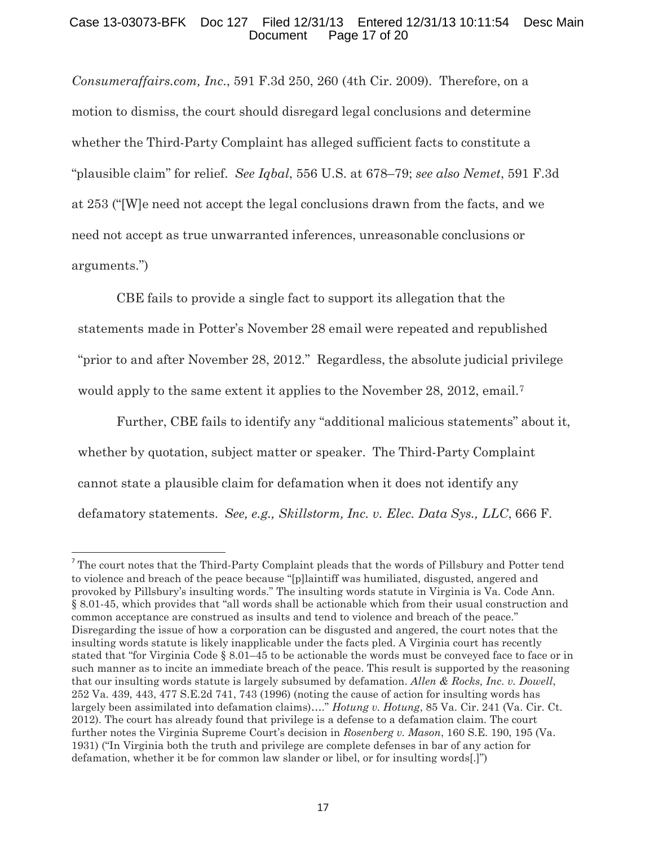#### Case 13-03073-BFK Doc 127 Filed 12/31/13 Entered 12/31/13 10:11:54 Desc Main Document Page 17 of 20

*Consumeraffairs.com, Inc*., 591 F.3d 250, 260 (4th Cir. 2009). Therefore, on a motion to dismiss, the court should disregard legal conclusions and determine whether the Third-Party Complaint has alleged sufficient facts to constitute a "plausible claim" for relief. *See Iqbal*, 556 U.S. at 678–79; *see also Nemet*, 591 F.3d at 253 ("[W]e need not accept the legal conclusions drawn from the facts, and we need not accept as true unwarranted inferences, unreasonable conclusions or arguments.")

CBE fails to provide a single fact to support its allegation that the statements made in Potter's November 28 email were repeated and republished "prior to and after November 28, 2012." Regardless, the absolute judicial privilege would apply to the same extent it applies to the November 28, 2012, email.<sup>7</sup>

Further, CBE fails to identify any "additional malicious statements" about it, whether by quotation, subject matter or speaker. The Third-Party Complaint cannot state a plausible claim for defamation when it does not identify any defamatory statements. *See, e.g., Skillstorm, Inc. v. Elec. Data Sys., LLC*, 666 F.

<u>.</u>

 $7$  The court notes that the Third-Party Complaint pleads that the words of Pillsbury and Potter tend to violence and breach of the peace because "[p]laintiff was humiliated, disgusted, angered and provoked by Pillsbury's insulting words." The insulting words statute in Virginia is Va. Code Ann. § 8.01-45, which provides that "all words shall be actionable which from their usual construction and common acceptance are construed as insults and tend to violence and breach of the peace." Disregarding the issue of how a corporation can be disgusted and angered, the court notes that the insulting words statute is likely inapplicable under the facts pled. A Virginia court has recently stated that "for Virginia Code § 8.01–45 to be actionable the words must be conveyed face to face or in such manner as to incite an immediate breach of the peace. This result is supported by the reasoning that our insulting words statute is largely subsumed by defamation. *Allen & Rocks, Inc. v. Dowell*, 252 Va. 439, 443, 477 S.E.2d 741, 743 (1996) (noting the cause of action for insulting words has largely been assimilated into defamation claims)…." *Hotung v. Hotung*, 85 Va. Cir. 241 (Va. Cir. Ct. 2012). The court has already found that privilege is a defense to a defamation claim. The court further notes the Virginia Supreme Court's decision in *Rosenberg v. Mason*, 160 S.E. 190, 195 (Va. 1931) ("In Virginia both the truth and privilege are complete defenses in bar of any action for defamation, whether it be for common law slander or libel, or for insulting words[.]")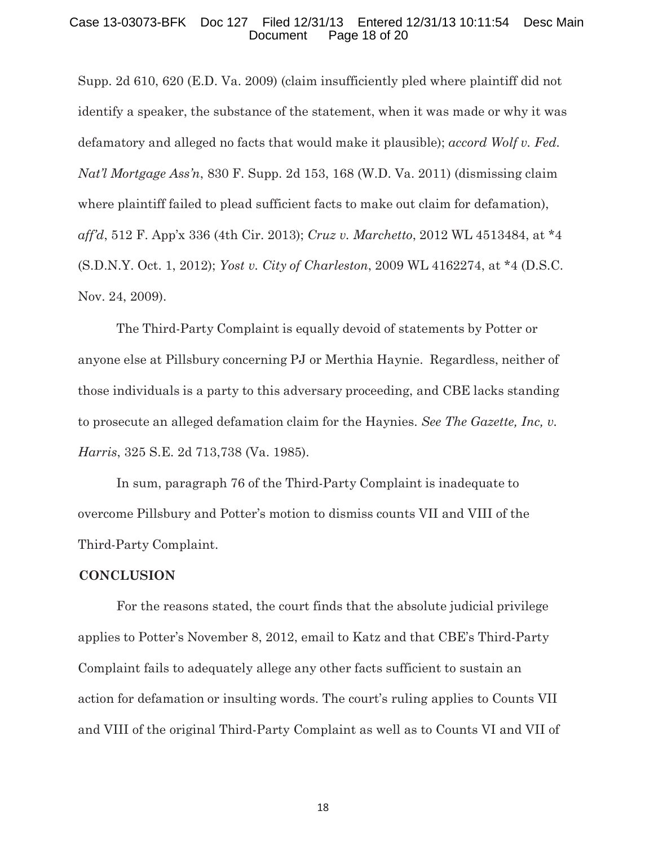#### Case 13-03073-BFK Doc 127 Filed 12/31/13 Entered 12/31/13 10:11:54 Desc Main Page 18 of 20

Supp. 2d 610, 620 (E.D. Va. 2009) (claim insufficiently pled where plaintiff did not identify a speaker, the substance of the statement, when it was made or why it was defamatory and alleged no facts that would make it plausible); *accord Wolf v. Fed. Nat'l Mortgage Ass'n*, 830 F. Supp. 2d 153, 168 (W.D. Va. 2011) (dismissing claim where plaintiff failed to plead sufficient facts to make out claim for defamation), *aff'd*, 512 F. App'x 336 (4th Cir. 2013); *Cruz v. Marchetto*, 2012 WL 4513484, at \*4 (S.D.N.Y. Oct. 1, 2012); *Yost v. City of Charleston*, 2009 WL 4162274, at \*4 (D.S.C. Nov. 24, 2009).

The Third-Party Complaint is equally devoid of statements by Potter or anyone else at Pillsbury concerning PJ or Merthia Haynie. Regardless, neither of those individuals is a party to this adversary proceeding, and CBE lacks standing to prosecute an alleged defamation claim for the Haynies. *See The Gazette, Inc, v. Harris*, 325 S.E. 2d 713,738 (Va. 1985).

In sum, paragraph 76 of the Third-Party Complaint is inadequate to overcome Pillsbury and Potter's motion to dismiss counts VII and VIII of the Third-Party Complaint.

#### **CONCLUSION**

For the reasons stated, the court finds that the absolute judicial privilege applies to Potter's November 8, 2012, email to Katz and that CBE's Third-Party Complaint fails to adequately allege any other facts sufficient to sustain an action for defamation or insulting words. The court's ruling applies to Counts VII and VIII of the original Third-Party Complaint as well as to Counts VI and VII of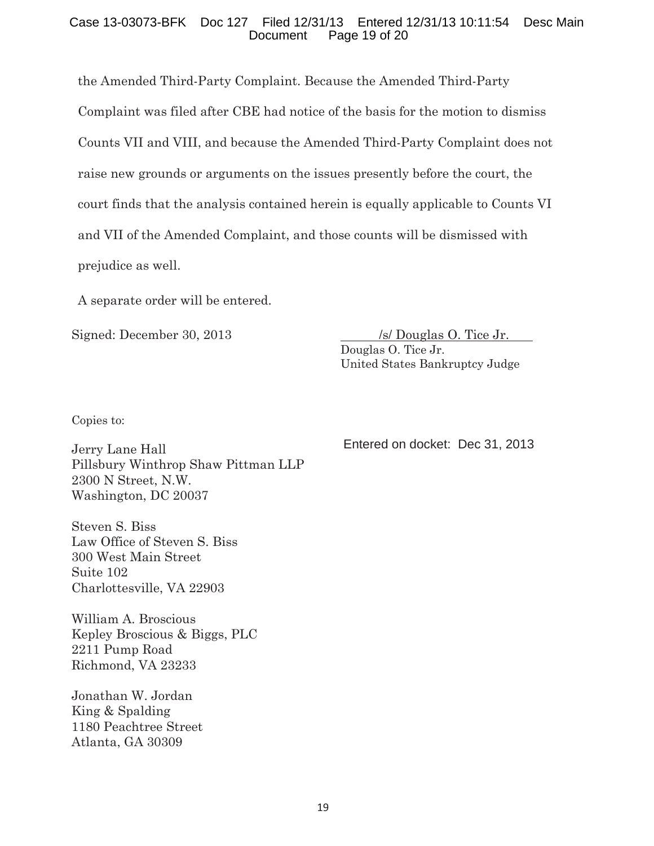# Case 13-03073-BFK Doc 127 Filed 12/31/13 Entered 12/31/13 10:11:54 Desc Main Page 19 of 20

the Amended Third-Party Complaint. Because the Amended Third-Party Complaint was filed after CBE had notice of the basis for the motion to dismiss Counts VII and VIII, and because the Amended Third-Party Complaint does not raise new grounds or arguments on the issues presently before the court, the court finds that the analysis contained herein is equally applicable to Counts VI and VII of the Amended Complaint, and those counts will be dismissed with prejudice as well.

A separate order will be entered.

Signed: December 30, 2013 /s/ Douglas O. Tice Jr. Douglas O. Tice Jr. United States Bankruptcy Judge

Copies to:

Jerry Lane Hall Pillsbury Winthrop Shaw Pittman LLP 2300 N Street, N.W. Washington, DC 20037

Steven S. Biss Law Office of Steven S. Biss 300 West Main Street Suite 102 Charlottesville, VA 22903

William A. Broscious Kepley Broscious & Biggs, PLC 2211 Pump Road Richmond, VA 23233

Jonathan W. Jordan King & Spalding 1180 Peachtree Street Atlanta, GA 30309

Entered on docket: Dec 31, 2013